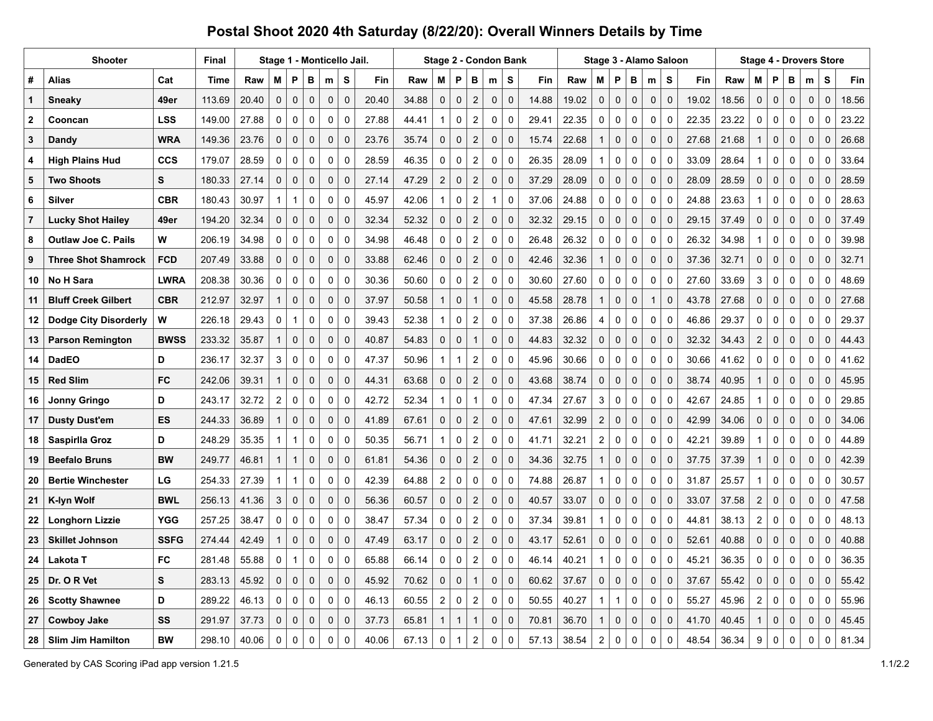|              | Shooter                      | <b>Final</b> | Stage 1 - Monticello Jail. |       |                         |              |             |                     |                |       |       |                         |                     | Stage 2 - Condon Bank   |                     |              |       |       |                |                     | Stage 3 - Alamo Saloon |              | <b>Stage 4 - Drovers Store</b> |       |       |                         |                     |              |             |             |       |
|--------------|------------------------------|--------------|----------------------------|-------|-------------------------|--------------|-------------|---------------------|----------------|-------|-------|-------------------------|---------------------|-------------------------|---------------------|--------------|-------|-------|----------------|---------------------|------------------------|--------------|--------------------------------|-------|-------|-------------------------|---------------------|--------------|-------------|-------------|-------|
| #            | Alias                        | Cat          | <b>Time</b>                | Raw   | M                       | P            | в           | m                   | S              | Fin   | Raw   | М                       | P                   | в                       | m                   | s            | Fin   | Raw   | м              | P                   | в                      | m            | S                              | Fin   | Raw   | м                       | P                   | В            | m           | s           | Fin   |
| $\mathbf 1$  | <b>Sneaky</b>                | 49er         | 113.69                     | 20.40 | $\pmb{0}$               | $\pmb{0}$    | $\mathsf 0$ | $\mathsf{O}\xspace$ | $\pmb{0}$      | 20.40 | 34.88 | $\mathsf 0$             | $\pmb{0}$           | $\sqrt{2}$              | $\pmb{0}$           | $\pmb{0}$    | 14.88 | 19.02 | $\mathsf 0$    | $\mathbf 0$         | $\mathsf{O}\xspace$    | $\mathbf 0$  | $\mathsf 0$                    | 19.02 | 18.56 | $\mathsf{O}\xspace$     | $\mathsf{O}\xspace$ | $\pmb{0}$    | $\pmb{0}$   | $\pmb{0}$   | 18.56 |
| $\mathbf{2}$ | Cooncan                      | <b>LSS</b>   | 149.00                     | 27.88 | 0                       | $\mathbf 0$  | 0           | $\mathbf 0$         | $\mathbf 0$    | 27.88 | 44.41 | 1                       | 0                   | $\overline{c}$          | $\mathbf 0$         | $\mathbf 0$  | 29.41 | 22.35 | 0              | 0                   | $\mathbf 0$            | $\mathbf 0$  | 0                              | 22.35 | 23.22 | 0                       | $\mathbf 0$         | $\mathbf 0$  | $\mathbf 0$ | 0           | 23.22 |
| 3            | Dandy                        | <b>WRA</b>   | 149.36                     | 23.76 | $\mathbf 0$             | $\pmb{0}$    | $\pmb{0}$   | $\mathbf 0$         | $\mathbf 0$    | 23.76 | 35.74 | 0                       | $\mathbf 0$         | $\overline{c}$          | 0                   | $\mathbf 0$  | 15.74 | 22.68 | $\mathbf 1$    | $\pmb{0}$           | $\mathbf 0$            | $\mathbf 0$  | $\Omega$                       | 27.68 | 21.68 | $\mathbf{1}$            | $\mathbf 0$         | $\mathbf 0$  | $\pmb{0}$   | 0           | 26.68 |
| 4            | <b>High Plains Hud</b>       | <b>CCS</b>   | 179.07                     | 28.59 | 0                       | 0            | 0           | 0                   | $\mathbf 0$    | 28.59 | 46.35 | 0                       | $\pmb{0}$           | $\overline{c}$          | $\mathbf 0$         | $\mathbf 0$  | 26.35 | 28.09 | 1              | 0                   | $\mathbf 0$            | $\mathbf 0$  | 0                              | 33.09 | 28.64 | $\mathbf{1}$            | 0                   | $\mathbf 0$  | $\mathbf 0$ | 0           | 33.64 |
| 5            | <b>Two Shoots</b>            | S            | 180.33                     | 27.14 | $\mathbf 0$             | $\mathbf 0$  | $\pmb{0}$   | $\mathbf 0$         | $\mathbf 0$    | 27.14 | 47.29 | $\overline{c}$          | $\mathbf 0$         | $\overline{2}$          | 0                   | $\pmb{0}$    | 37.29 | 28.09 | $\mathbf 0$    | $\pmb{0}$           | $\mathbf 0$            | $\mathbf 0$  | 0                              | 28.09 | 28.59 | $\mathbf 0$             | $\mathbf 0$         | $\mathbf 0$  | $\mathbf 0$ | 0           | 28.59 |
| 6            | Silver                       | <b>CBR</b>   | 180.43                     | 30.97 | $\mathbf 1$             | 1            | 0           | 0                   | $\mathbf 0$    | 45.97 | 42.06 | $\mathbf{1}$            | 0                   | $\overline{\mathbf{c}}$ | $\mathbf 1$         | $\pmb{0}$    | 37.06 | 24.88 | 0              | $\pmb{0}$           | 0                      | $\mathbf 0$  | 0                              | 24.88 | 23.63 | $\mathbf{1}$            | 0                   | 0            | $\pmb{0}$   | 0           | 28.63 |
| 7            | <b>Lucky Shot Hailey</b>     | 49er         | 194.20                     | 32.34 | $\mathbf 0$             | $\mathbf 0$  | $\mathbf 0$ | $\mathbf{0}$        | $\mathbf 0$    | 32.34 | 52.32 | $\mathbf 0$             | $\mathbf 0$         | $\boldsymbol{2}$        | $\mathbf 0$         | $\mathbf 0$  | 32.32 | 29.15 | $\mathbf 0$    | $\mathbf 0$         | 0                      | $\mathbf 0$  | 0                              | 29.15 | 37.49 | 0                       | $\mathbf 0$         | $\mathbf 0$  | $\mathbf 0$ | $\mathbf 0$ | 37.49 |
| 8            | <b>Outlaw Joe C. Pails</b>   | W            | 206.19                     | 34.98 | 0                       | 0            | 0           | 0                   | $\mathbf 0$    | 34.98 | 46.48 | 0                       | 0                   | $\overline{c}$          | 0                   | $\mathbf 0$  | 26.48 | 26.32 | 0              | 0                   | 0                      | 0            | $\Omega$                       | 26.32 | 34.98 | $\mathbf{1}$            | 0                   | 0            | 0           | 0           | 39.98 |
| 9            | <b>Three Shot Shamrock</b>   | <b>FCD</b>   | 207.49                     | 33.88 | $\Omega$                | $\mathbf 0$  | $\mathbf 0$ | $\mathbf 0$         | $\mathbf 0$    | 33.88 | 62.46 | $\mathbf 0$             | $\mathbf 0$         | $\sqrt{2}$              | $\mathbf 0$         | $\mathbf 0$  | 42.46 | 32.36 | 1              | $\mathbf 0$         | $\mathbf 0$            | $\mathbf 0$  | 0                              | 37.36 | 32.71 | $\mathbf 0$             | $\mathbf 0$         | $\mathbf 0$  | $\mathbf 0$ | $\mathbf 0$ | 32.71 |
| 10           | <b>No H Sara</b>             | <b>LWRA</b>  | 208.38                     | 30.36 | $\mathbf 0$             | $\mathbf 0$  | $\mathbf 0$ | 0                   | $\overline{0}$ | 30.36 | 50.60 | 0                       | 0                   | $\overline{2}$          | $\mathbf 0$         | $\mathbf 0$  | 30.60 | 27.60 | 0              | 0                   | 0                      | $\mathbf 0$  | $\mathbf 0$                    | 27.60 | 33.69 | 3                       | $\mathbf 0$         | $\mathbf 0$  | $\pmb{0}$   | $\mathbf 0$ | 48.69 |
| 11           | <b>Bluff Creek Gilbert</b>   | <b>CBR</b>   | 212.97                     | 32.97 | $\mathbf{1}$            | $\mathbf 0$  | $\pmb{0}$   | 0                   | $\mathbf 0$    | 37.97 | 50.58 | $\mathbf{1}$            | $\mathsf{O}\xspace$ | $\mathbf{1}$            | $\pmb{0}$           | $\mathbf 0$  | 45.58 | 28.78 | 1              | $\pmb{0}$           | $\mathbf 0$            | $\mathbf{1}$ | 0                              | 43.78 | 27.68 | $\mathbf 0$             | $\pmb{0}$           | $\mathbf 0$  | $\pmb{0}$   | $\pmb{0}$   | 27.68 |
| 12           | <b>Dodge City Disorderly</b> | W            | 226.18                     | 29.43 | 0                       | 1            | 0           | 0                   | $\mathbf 0$    | 39.43 | 52.38 | 1                       | 0                   | $\overline{c}$          | $\mathbf 0$         | $\Omega$     | 37.38 | 26.86 | 4              | $\mathbf 0$         | 0                      | $\mathbf 0$  | $\Omega$                       | 46.86 | 29.37 | 0                       | $\mathbf 0$         | 0            | $\pmb{0}$   | $\mathbf 0$ | 29.37 |
| 13           | <b>Parson Remington</b>      | <b>BWSS</b>  | 233.32                     | 35.87 | $\mathbf{1}$            | $\mathbf 0$  | 0           | $\mathbf 0$         | $\pmb{0}$      | 40.87 | 54.83 | 0                       | $\pmb{0}$           | $\mathbf{1}$            | $\mathsf{O}\xspace$ | $\mathbf 0$  | 44.83 | 32.32 | $\mathbf 0$    | $\mathsf{O}\xspace$ | 0                      | $\mathbf 0$  | $\Omega$                       | 32.32 | 34.43 | $\sqrt{2}$              | $\mathbf{0}$        | $\mathbf{0}$ | $\pmb{0}$   | 0           | 44.43 |
| 14           | <b>DadEO</b>                 | D            | 236.17                     | 32.37 | 3                       | $\pmb{0}$    | $\mathsf 0$ | $\pmb{0}$           | $\pmb{0}$      | 47.37 | 50.96 | $\mathbf 1$             | $\overline{1}$      | $\boldsymbol{2}$        | $\mathbf 0$         | $\Omega$     | 45.96 | 30.66 | 0              | $\pmb{0}$           | $\pmb{0}$              | $\mathbf 0$  | $\Omega$                       | 30.66 | 41.62 | 0                       | 0                   | 0            | 0           | $\mathbf 0$ | 41.62 |
| 15           | <b>Red Slim</b>              | <b>FC</b>    | 242.06                     | 39.31 |                         | $\mathbf 0$  | 0           | 0                   | $\mathbf 0$    | 44.31 | 63.68 | 0                       | 0                   | $\boldsymbol{2}$        | $\mathbf 0$         | $\mathbf 0$  | 43.68 | 38.74 | $\mathbf 0$    | $\pmb{0}$           | 0                      | $\mathbf 0$  | $\Omega$                       | 38.74 | 40.95 | $\mathbf{1}$            | $\mathbf 0$         | $\mathbf{0}$ | $\mathbf 0$ | $\mathbf 0$ | 45.95 |
| 16           | Jonny Gringo                 | D            | 243.17                     | 32.72 | $\overline{\mathbf{c}}$ | $\pmb{0}$    | 0           | $\pmb{0}$           | $\mathbf 0$    | 42.72 | 52.34 | 1                       | $\pmb{0}$           | -1                      | 0                   | $\Omega$     | 47.34 | 27.67 | 3              | $\pmb{0}$           | $\pmb{0}$              | $\mathbf 0$  | $\Omega$                       | 42.67 | 24.85 | $\mathbf{1}$            | 0                   | 0            | 0           | 0           | 29.85 |
| 17           | <b>Dusty Dust'em</b>         | <b>ES</b>    | 244.33                     | 36.89 |                         | $\mathbf{0}$ | $\mathbf 0$ | $\mathbf 0$         | $\mathbf 0$    | 41.89 | 67.61 | 0                       | $\mathbf 0$         | $\overline{2}$          | $\mathbf 0$         | $\mathbf{0}$ | 47.61 | 32.99 | $\overline{2}$ | $\mathbf 0$         | $\mathbf 0$            | $\mathbf 0$  | $\Omega$                       | 42.99 | 34.06 | $\mathbf 0$             | $\mathbf 0$         | $\mathbf{0}$ | $\mathbf 0$ | $\mathbf 0$ | 34.06 |
| 18           | Saspirlla Groz               | D            | 248.29                     | 35.35 | -1                      | $\mathbf{1}$ | 0           | 0                   | $\mathbf 0$    | 50.35 | 56.71 | 1                       | 0                   | $\overline{c}$          | 0                   | $\mathbf 0$  | 41.71 | 32.21 | $\overline{2}$ | 0                   | 0                      | 0            | $\mathbf 0$                    | 42.21 | 39.89 | $\mathbf{1}$            | 0                   | 0            | 0           | 0           | 44.89 |
| 19           | <b>Beefalo Bruns</b>         | <b>BW</b>    | 249.77                     | 46.81 |                         | $\mathbf{1}$ | $\mathbf 0$ | $\Omega$            | $\mathbf 0$    | 61.81 | 54.36 | $\mathbf 0$             | $\mathbf 0$         | $\boldsymbol{2}$        | $\mathbf 0$         | $\Omega$     | 34.36 | 32.75 | 1              | 0                   | 0                      | $\mathbf 0$  | $\Omega$                       | 37.75 | 37.39 | $\mathbf{1}$            | 0                   | $\Omega$     | $\mathbf 0$ | 0           | 42.39 |
| 20           | <b>Bertie Winchester</b>     | LG           | 254.33                     | 27.39 |                         | $\mathbf 1$  | 0           | 0                   | $\mathbf 0$    | 42.39 | 64.88 | $\overline{c}$          | 0                   | 0                       | 0                   | $\mathbf 0$  | 74.88 | 26.87 |                | 0                   | 0                      | 0            | $\Omega$                       | 31.87 | 25.57 | $\mathbf{1}$            | 0                   | 0            | 0           | 0           | 30.57 |
| 21           | <b>K-lyn Wolf</b>            | <b>BWL</b>   | 256.13                     | 41.36 | 3                       | $\pmb{0}$    | $\pmb{0}$   | $\mathbf 0$         | $\mathbf 0$    | 56.36 | 60.57 | 0                       | $\mathbf 0$         | $\overline{2}$          | 0                   | $\pmb{0}$    | 40.57 | 33.07 | $\mathbf 0$    | $\pmb{0}$           | 0                      | $\mathbf 0$  | $\Omega$                       | 33.07 | 37.58 | $\overline{2}$          | $\pmb{0}$           | $\mathbf 0$  | $\pmb{0}$   | 0           | 47.58 |
| 22           | <b>Longhorn Lizzie</b>       | <b>YGG</b>   | 257.25                     | 38.47 | 0                       | $\mathbf 0$  | $\mathbf 0$ | 0                   | $\mathbf 0$    | 38.47 | 57.34 | 0                       | 0                   | $\overline{c}$          | 0                   | $\mathbf 0$  | 37.34 | 39.81 | 1              | 0                   | 0                      | 0            | $\mathbf 0$                    | 44.81 | 38.13 | $\overline{c}$          | 0                   | $\mathbf 0$  | 0           | $\mathbf 0$ | 48.13 |
| 23           | <b>Skillet Johnson</b>       | <b>SSFG</b>  | 274.44                     | 42.49 |                         | $\pmb{0}$    | 0           | 0                   | $\mathbf 0$    | 47.49 | 63.17 | $\mathbf 0$             | 0                   | $\overline{2}$          | $\mathbf 0$         | $\Omega$     | 43.17 | 52.61 | $\mathbf 0$    | 0                   | 0                      | $\mathbf 0$  | $\Omega$                       | 52.61 | 40.88 | 0                       | $\mathbf 0$         | $\mathbf 0$  | $\pmb{0}$   | 0           | 40.88 |
| 24           | Lakota T                     | FC           | 281.48                     | 55.88 | $\mathbf 0$             | $\mathbf{1}$ | 0           | $\mathbf 0$         | $\mathbf 0$    | 65.88 | 66.14 | 0                       | $\mathbf 0$         | $\overline{\mathbf{c}}$ | 0                   | $\Omega$     | 46.14 | 40.21 | 1              | $\mathbf 0$         | $\mathbf 0$            | $\mathbf 0$  | $\Omega$                       | 45.21 | 36.35 | 0                       | 0                   | $\Omega$     | $\mathbf 0$ | 0           | 36.35 |
| 25           | Dr. O R Vet                  | S            | 283.13                     | 45.92 | $\mathbf{0}$            | $\mathbf 0$  | $\mathbf 0$ | 0                   | $\mathbf 0$    | 45.92 | 70.62 | 0                       | $\mathbf 0$         | $\mathbf{1}$            | $\mathbf 0$         | $\mathbf 0$  | 60.62 | 37.67 | $\mathbf 0$    | $\mathbf 0$         | 0                      | $\mathbf 0$  | $\Omega$                       | 37.67 | 55.42 | 0                       | $\mathbf 0$         | $\mathbf{0}$ | $\mathbf 0$ | 0           | 55.42 |
| 26           | <b>Scotty Shawnee</b>        | D            | 289.22                     | 46.13 | 0                       | $\pmb{0}$    | 0           | 0                   | $\mathbf 0$    | 46.13 | 60.55 | $\overline{\mathbf{c}}$ | 0                   | $\boldsymbol{2}$        | 0                   | $\pmb{0}$    | 50.55 | 40.27 | 1              | $\mathbf{1}$        | $\pmb{0}$              | 0            | 0                              | 55.27 | 45.96 | $\overline{\mathbf{c}}$ | 0                   | 0            | 0           | 0           | 55.96 |
| 27           | <b>Cowboy Jake</b>           | SS           | 291.97                     | 37.73 | $\Omega$                | $\mathbf 0$  | $\mathbf 0$ | 0                   | $\mathbf 0$    | 37.73 | 65.81 | $\mathbf 1$             | $\mathbf{1}$        |                         | $\Omega$            | $\Omega$     | 70.81 | 36.70 |                | $\mathbf 0$         | 0                      | $\mathbf 0$  | $\Omega$                       | 41.70 | 40.45 | $\mathbf 1$             | 0                   | $\Omega$     | $\mathbf 0$ | $\mathbf 0$ | 45.45 |
| 28           | <b>Slim Jim Hamilton</b>     | <b>BW</b>    | 298.10                     | 40.06 | O                       | $\mathbf{0}$ | 0           | $\Omega$            | $\Omega$       | 40.06 | 67.13 | 0                       | -1                  | $\overline{c}$          | $\Omega$            | $\Omega$     | 57.13 | 38.54 | $\overline{c}$ | $\mathbf 0$         | $\mathbf 0$            | $\Omega$     | $\Omega$                       | 48.54 | 36.34 | 9                       | 0                   | 0            | $\mathbf 0$ | 0           | 81.34 |

Generated by CAS Scoring iPad app version 1.21.5 1.1/2.2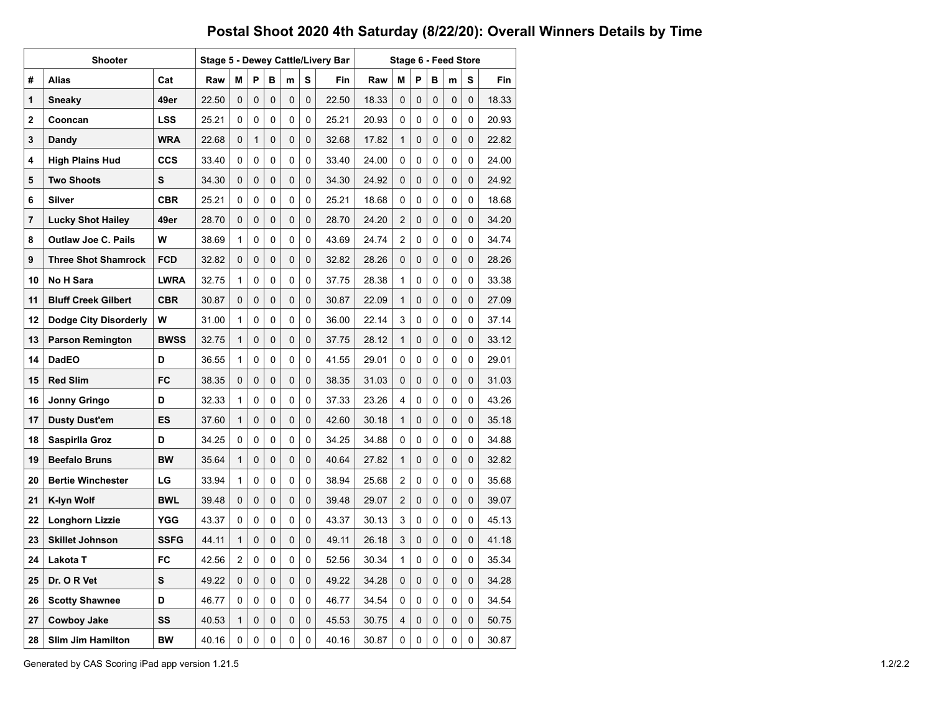|    | Shooter                      |             |       |                |                |   |             | Stage 5 - Dewey Cattle/Livery Bar | Stage 6 - Feed Store |       |                |   |   |   |     |       |  |  |
|----|------------------------------|-------------|-------|----------------|----------------|---|-------------|-----------------------------------|----------------------|-------|----------------|---|---|---|-----|-------|--|--|
| #  | <b>Alias</b>                 | Raw         | M     | P              | в              | m | S           | Fin                               | Raw                  | м     | P              | в | m | s | Fin |       |  |  |
| 1  | Sneaky                       | 49er        | 22.50 | 0              | 0              | 0 | $\Omega$    | 0                                 | 22.50                | 18.33 | 0              | 0 | 0 | 0 | 0   | 18.33 |  |  |
| 2  | Cooncan                      | LSS         | 25.21 | 0              | 0              | 0 | 0           | 0                                 | 25.21                | 20.93 | 0              | 0 | 0 | 0 | 0   | 20.93 |  |  |
| 3  | Dandy                        | <b>WRA</b>  | 22.68 | 0              | 1              | 0 | 0           | 0                                 | 32.68                | 17.82 | 1              | 0 | 0 | 0 | 0   | 22.82 |  |  |
| 4  | <b>High Plains Hud</b>       | <b>CCS</b>  | 33.40 | 0              | 0              | 0 | 0           | 0                                 | 33.40                | 24.00 | 0              | 0 | 0 | 0 | 0   | 24.00 |  |  |
| 5  | <b>Two Shoots</b>            | s           | 34.30 | 0              | 0              | 0 | 0           | 0                                 | 34.30                | 24.92 | 0              | 0 | 0 | 0 | 0   | 24.92 |  |  |
| 6  | Silver                       | <b>CBR</b>  | 25.21 | 0              | 0              | 0 | 0           | 0                                 | 25.21                | 18.68 | 0              | 0 | 0 | 0 | 0   | 18.68 |  |  |
| 7  | <b>Lucky Shot Hailey</b>     | 49er        | 28.70 | 0              | 0              | 0 | 0           | 0                                 | 28.70                | 24.20 | $\overline{2}$ | 0 | 0 | 0 | 0   | 34.20 |  |  |
| 8  | <b>Outlaw Joe C. Pails</b>   | W           | 38.69 | 1              | 0              | 0 | 0           | 0                                 | 43.69                | 24.74 | $\overline{c}$ | 0 | 0 | 0 | 0   | 34.74 |  |  |
| 9  | <b>Three Shot Shamrock</b>   | <b>FCD</b>  | 32.82 | 0              | 0              | 0 | 0           | 0                                 | 32.82                | 28.26 | 0              | 0 | 0 | 0 | 0   | 28.26 |  |  |
| 10 | <b>No H Sara</b>             | <b>LWRA</b> | 32.75 | 1              | 0              | 0 | 0           | 0                                 | 37.75                | 28.38 | 1              | 0 | 0 | 0 | 0   | 33.38 |  |  |
| 11 | <b>Bluff Creek Gilbert</b>   | <b>CBR</b>  | 30.87 | 0              | 0              | 0 | 0           | 0                                 | 30.87                | 22.09 | 1              | 0 | 0 | 0 | 0   | 27.09 |  |  |
| 12 | <b>Dodge City Disorderly</b> | W           | 31.00 | 1              | 0              | 0 | 0           | 0                                 | 36.00                | 22.14 | 3              | 0 | 0 | 0 | 0   | 37.14 |  |  |
| 13 | <b>Parson Remington</b>      | <b>BWSS</b> | 32.75 | 1              | 0              | 0 | 0           | 0                                 | 37.75                | 28.12 | $\mathbf{1}$   | 0 | 0 | 0 | 0   | 33.12 |  |  |
| 14 | <b>DadEO</b>                 | D           | 36.55 | $\mathbf{1}$   | 0              | 0 | 0           | 0                                 | 41.55                | 29.01 | 0              | 0 | 0 | 0 | 0   | 29.01 |  |  |
| 15 | <b>Red Slim</b>              | FC          | 38.35 | 0              | 0              | 0 | 0           | 0                                 | 38.35                | 31.03 | 0              | 0 | 0 | 0 | 0   | 31.03 |  |  |
| 16 | Jonny Gringo                 | D           | 32.33 | 1              | 0              | 0 | 0           | 0                                 | 37.33                | 23.26 | 4              | 0 | 0 | 0 | 0   | 43.26 |  |  |
| 17 | <b>Dusty Dust'em</b>         | ES          | 37.60 | 1              | 0              | 0 | 0           | 0                                 | 42.60                | 30.18 | $\mathbf{1}$   | 0 | 0 | 0 | 0   | 35.18 |  |  |
| 18 | Saspirlla Groz               | D           | 34.25 | $\Omega$       | 0              | 0 | $\Omega$    | 0                                 | 34.25                | 34.88 | 0              | 0 | 0 | 0 | 0   | 34.88 |  |  |
| 19 | <b>Beefalo Bruns</b>         | <b>BW</b>   | 35.64 | 1              | 0              | 0 | 0           | 0                                 | 40.64                | 27.82 | 1              | 0 | 0 | 0 | 0   | 32.82 |  |  |
| 20 | <b>Bertie Winchester</b>     | LG          | 33.94 | 1              | 0              | 0 | 0           | 0                                 | 38.94                | 25.68 | $\overline{2}$ | 0 | 0 | 0 | 0   | 35.68 |  |  |
| 21 | K-lyn Wolf                   | <b>BWL</b>  | 39.48 | 0              | 0              | 0 | 0           | 0                                 | 39.48                | 29.07 | $\overline{2}$ | 0 | 0 | 0 | 0   | 39.07 |  |  |
| 22 | Longhorn Lizzie              | YGG         | 43.37 | 0              | $\Omega$       | 0 | 0           | 0                                 | 43.37                | 30.13 | 3              | 0 | 0 | 0 | 0   | 45.13 |  |  |
| 23 | <b>Skillet Johnson</b>       | <b>SSFG</b> | 44.11 | 1              | 0              | 0 | $\Omega$    | 0                                 | 49.11                | 26.18 | 3              | 0 | 0 | 0 | 0   | 41.18 |  |  |
| 24 | Lakota T                     | <b>FC</b>   | 42.56 | $\overline{2}$ | 0              | 0 | 0           | 0                                 | 52.56                | 30.34 | 1              | 0 | 0 | 0 | 0   | 35.34 |  |  |
| 25 | Dr. O R Vet                  | S           | 49.22 | 0              | 0              | 0 | 0           | 0                                 | 49.22                | 34.28 | 0              | 0 | 0 | 0 | 0   | 34.28 |  |  |
| 26 | <b>Scotty Shawnee</b>        | D           | 46.77 | 0              | 0              | 0 | $\Omega$    | 0                                 | 46.77                | 34.54 | 0              | 0 | 0 | 0 | 0   | 34.54 |  |  |
| 27 | <b>Cowboy Jake</b>           | SS          | 40.53 | 1              | 0              | 0 | 0           | 0                                 | 45.53                | 30.75 | 4              | 0 | 0 | 0 | 0   | 50.75 |  |  |
| 28 | <b>Slim Jim Hamilton</b>     | <b>BW</b>   | 40.16 | 0              | $\overline{0}$ | 0 | $\mathbf 0$ | 0                                 | 40.16                | 30.87 | 0              | 0 | 0 | 0 | 0   | 30.87 |  |  |

Generated by CAS Scoring iPad app version 1.21.5 1.2/2.2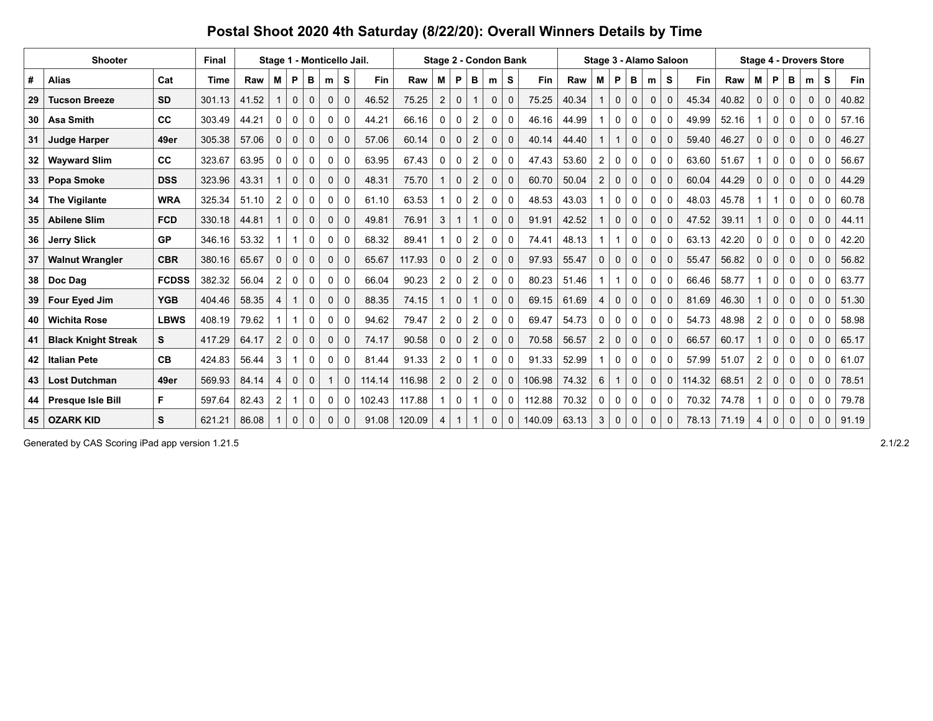|    | <b>Shooter</b>             | Final        | Stage 1 - Monticello Jail. |       |                |             |             |              |             |        | Stage 2 - Condon Bank |                |                |                |             | Stage 3 - Alamo Saloon |        |       | <b>Stage 4 - Drovers Store</b> |              |              |              |              |        |       |                |              |             |              |             |       |
|----|----------------------------|--------------|----------------------------|-------|----------------|-------------|-------------|--------------|-------------|--------|-----------------------|----------------|----------------|----------------|-------------|------------------------|--------|-------|--------------------------------|--------------|--------------|--------------|--------------|--------|-------|----------------|--------------|-------------|--------------|-------------|-------|
| #  | <b>Alias</b>               | Cat          | Time                       | Raw   | М              | P           | в           | m            | S           | Fin    | Raw                   | М              | P              | в              | m           | S                      | Fin    | Raw   | м                              | P            | в            | m            | S            | Fin    | Raw   | м              | P            | в           | m            | s           | Fin   |
| 29 | <b>Tucson Breeze</b>       | <b>SD</b>    | 301.13                     | 41.52 |                | $\mathbf 0$ | $\mathbf 0$ | $\mathbf{0}$ | $\Omega$    | 46.52  | 75.25                 | 2              | $\Omega$       |                | $\mathbf 0$ | $\mathbf{0}$           | 75.25  | 40.34 | $\mathbf{1}$                   | $\mathbf 0$  | $\mathbf 0$  | $\mathbf 0$  | $\Omega$     | 45.34  | 40.82 | 0              | $\Omega$     | $\mathbf 0$ | $\mathbf 0$  | $\mathbf 0$ | 40.82 |
| 30 | <b>Asa Smith</b>           | cc           | 303.49                     | 44.21 | 0              | 0           | 0           | 0            | $\Omega$    | 44.21  | 66.16                 | 0              | 0              | $\overline{2}$ | 0           | 0                      | 46.16  | 44.99 | $\mathbf 1$                    | $\mathbf 0$  | 0            | 0            | 0            | 49.99  | 52.16 | -1             | 0            | 0           | 0            | 0           | 57.16 |
| 31 | <b>Judge Harper</b>        | 49er         | 305.38                     | 57.06 | 0              | $\mathbf 0$ | $\mathbf 0$ | $\mathbf 0$  | $\Omega$    | 57.06  | 60.14                 | $\mathbf 0$    | $\mathbf 0$    | $\overline{2}$ | 0           | $\mathbf 0$            | 40.14  | 44.40 | $\mathbf{1}$                   |              | $\mathbf 0$  | 0            | $\mathbf{0}$ | 59.40  | 46.27 | $\mathbf 0$    | $\mathbf 0$  | $\mathbf 0$ | $\mathbf 0$  | $\mathbf 0$ | 46.27 |
| 32 | <b>Wayward Slim</b>        | cc           | 323.67                     | 63.95 | 0              | 0           | 0           | 0            | 0           | 63.95  | 67.43                 | 0              | 0              | $\overline{2}$ | 0           | 0                      | 47.43  | 53.60 | $\overline{2}$                 | 0            | 0            | 0            | 0            | 63.60  | 51.67 | $\mathbf 1$    | 0            | 0           | 0            | 0           | 56.67 |
| 33 | Popa Smoke                 | <b>DSS</b>   | 323.96                     | 43.31 |                | $\mathbf 0$ | $\mathbf 0$ | $\mathbf 0$  | $\mathbf 0$ | 48.31  | 75.70                 |                | $\mathbf 0$    | $\overline{2}$ | $\mathbf 0$ | $\mathbf 0$            | 60.70  | 50.04 | $\overline{2}$                 | $\mathbf 0$  | 0            | $\mathbf 0$  | $\mathbf{0}$ | 60.04  | 44.29 | $\mathbf 0$    | $\mathbf{0}$ | $\mathbf 0$ | $\mathbf 0$  | $\mathbf 0$ | 44.29 |
| 34 | <b>The Vigilante</b>       | <b>WRA</b>   | 325.34                     | 51.10 | $\overline{2}$ | 0           | 0           | 0            | 0           | 61.10  | 63.53                 |                | 0              | $\overline{2}$ | 0           | 0                      | 48.53  | 43.03 | 1 <sup>1</sup>                 | 0            | 0            | 0            | 0            | 48.03  | 45.78 | -1             |              | 0           | 0            | 0           | 60.78 |
| 35 | <b>Abilene Slim</b>        | <b>FCD</b>   | 330.18                     | 44.81 |                | $\mathbf 0$ | $\mathbf 0$ | 0            | $\mathbf 0$ | 49.81  | 76.91                 | 3              | $\mathbf{1}$   | $\mathbf{1}$   | $\mathbf 0$ | $\mathbf 0$            | 91.91  | 42.52 | $\mathbf{1}$                   | $\mathbf 0$  | $\mathbf 0$  | 0            | $\mathbf 0$  | 47.52  | 39.11 | $\mathbf{1}$   | $\mathbf{0}$ | $\mathbf 0$ | $\mathbf 0$  | $\mathbf 0$ | 44.11 |
| 36 | <b>Jerry Slick</b>         | <b>GP</b>    | 346.16                     | 53.32 |                | $\mathbf 1$ | 0           | 0            | $\mathbf 0$ | 68.32  | 89.41                 |                | $\mathbf 0$    | $\overline{2}$ | 0           | 0                      | 74.41  | 48.13 | 1                              | -1           | 0            | 0            | 0            | 63.13  | 42.20 | 0              | $\mathbf 0$  | 0           | 0            | 0           | 42.20 |
| 37 | <b>Walnut Wrangler</b>     | <b>CBR</b>   | 380.16                     | 65.67 | $\mathbf 0$    | $\mathbf 0$ | $\mathbf 0$ | $\mathbf{0}$ | $\mathbf 0$ | 65.67  | 117.93                | $\mathbf 0$    | $\mathbf 0$    | $\overline{2}$ | 0           | $\mathbf{0}$           | 97.93  | 55.47 | 0                              | $\mathbf 0$  | $\mathbf 0$  | $\mathbf 0$  | $\mathbf{0}$ | 55.47  | 56.82 | 0              | $\mathbf{0}$ | $\mathbf 0$ | $\mathbf 0$  | $\mathbf 0$ | 56.82 |
| 38 | Doc Dag                    | <b>FCDSS</b> | 382.32                     | 56.04 | 2              | 0           | 0           | $\Omega$     | $\Omega$    | 66.04  | 90.23                 | $\overline{2}$ | 0              | $\overline{c}$ | 0           | 0                      | 80.23  | 51.46 | 1                              |              | 0            | 0            | 0            | 66.46  | 58.77 | 1              | $\Omega$     | 0           | $\mathbf{0}$ | 0           | 63.77 |
| 39 | Four Eyed Jim              | <b>YGB</b>   | 404.46                     | 58.35 | 4              | $\mathbf 1$ | $\mathbf 0$ | $\Omega$     | $\Omega$    | 88.35  | 74.15                 |                | $\mathbf 0$    |                | $\mathbf 0$ | $\mathbf 0$            | 69.15  | 61.69 | 4                              | $\mathbf 0$  | $\mathbf 0$  | $\mathbf 0$  | $\Omega$     | 81.69  | 46.30 |                | $\mathbf 0$  | $\mathbf 0$ | $\mathbf 0$  | $\mathbf 0$ | 51.30 |
| 40 | <b>Wichita Rose</b>        | <b>LBWS</b>  | 408.19                     | 79.62 |                | $\mathbf 1$ | $\mathbf 0$ | 0            | 0           | 94.62  | 79.47                 | $\overline{2}$ | 0              | $\overline{c}$ | 0           | 0                      | 69.47  | 54.73 | 0                              | 0            | 0            | 0            | 0            | 54.73  | 48.98 | $\overline{2}$ | 0            | 0           | 0            | 0           | 58.98 |
| 41 | <b>Black Knight Streak</b> | S            | 417.29                     | 64.17 | 2              | $\mathbf 0$ | $\mathbf 0$ | $\mathbf{0}$ | $\mathbf 0$ | 74.17  | 90.58                 | 0              | $\mathbf 0$    | $\overline{2}$ | $\mathbf 0$ | $\mathbf 0$            | 70.58  | 56.57 | $\overline{2}$                 | $\mathbf 0$  | $\mathbf 0$  | $\mathbf 0$  | $\mathbf{0}$ | 66.57  | 60.17 | $\mathbf{1}$   | $\mathbf 0$  | $\mathbf 0$ | $\mathbf 0$  | $\mathbf 0$ | 65.17 |
| 42 | <b>Italian Pete</b>        | CB           | 424.83                     | 56.44 | 3              |             | 0           | $\Omega$     | $\Omega$    | 81.44  | 91.33                 | $\overline{2}$ | 0              |                | 0           | $\mathbf 0$            | 91.33  | 52.99 | $\mathbf 1$                    | 0            | $\mathbf 0$  | $\mathbf{0}$ | 0            | 57.99  | 51.07 | $\overline{2}$ | $\Omega$     | 0           | $\mathbf{0}$ | 0           | 61.07 |
| 43 | <b>Lost Dutchman</b>       | 49er         | 569.93                     | 84.14 | 4              | $\Omega$    | $\Omega$    |              | $\Omega$    | 114.14 | 116.98                | 2              | $\Omega$       | 2              | $\Omega$    | $\mathbf{0}$           | 106.98 | 74.32 | 6                              |              | $\mathbf{0}$ | $\Omega$     | $\Omega$     | 114.32 | 68.51 | $\overline{2}$ | $\Omega$     | $\Omega$    | $\Omega$     | $\Omega$    | 78.51 |
| 44 | Presque Isle Bill          | F.           | 597.64                     | 82.43 | $\overline{2}$ | 1           | $\Omega$    | $\Omega$     | $\Omega$    | 102.43 | 117.88                |                | 0              | $\mathbf 1$    | $\Omega$    | $\mathbf{0}$           | 112.88 | 70.32 | 0                              | $\mathbf{0}$ | $\mathbf 0$  | $\Omega$     | 0            | 70.32  | 74.78 | 1              | $\Omega$     | $\Omega$    | $\Omega$     | $\Omega$    | 79.78 |
| 45 | <b>OZARK KID</b>           | S            | 621.21                     | 86.08 |                | $\mathbf 0$ | $\Omega$    | $\Omega$     | $\Omega$    | 91.08  | 120.09                | 4              | $\overline{1}$ |                | $\Omega$    | $\Omega$               | 140.09 | 63.13 | 3                              | $\mathbf 0$  | $\mathbf 0$  | 0            | $\Omega$     | 78.13  | 71.19 | 4              | $\mathbf 0$  | 0           | $\Omega$     | $\Omega$    | 91.19 |

Generated by CAS Scoring iPad app version 1.21.5 2.1/2.2